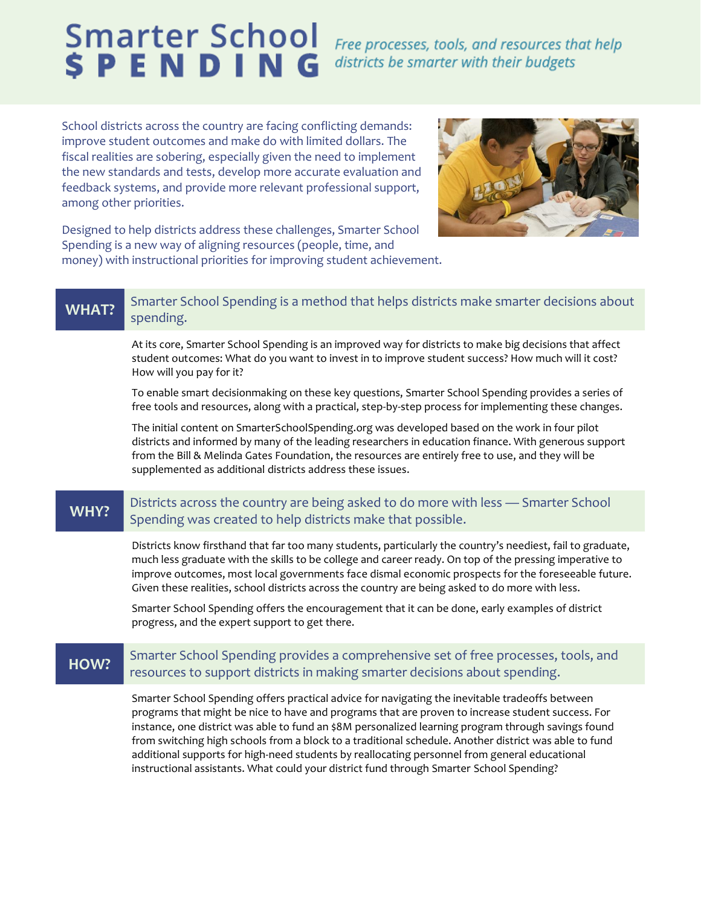# **Smarter School SPENDING**

Free processes, tools, and resources that help districts be smarter with their budgets

School districts across the country are facing conflicting demands: improve student outcomes and make do with limited dollars. The fiscal realities are sobering, especially given the need to implement the new standards and tests, develop more accurate evaluation and feedback systems, and provide more relevant professional support, among other priorities.



Designed to help districts address these challenges, Smarter School Spending is a new way of aligning resources (people, time, and money) with instructional priorities for improving student achievement.

## WHAT? Smarter School Spending is a method that helps districts make smarter decisions about spending.

At its core, Smarter School Spending is an improved way for districts to make big decisions that affect student outcomes: What do you want to invest in to improve student success? How much will it cost? How will you pay for it?

To enable smart decisionmaking on these key questions, Smarter School Spending provides a series of free tools and resources, along with a practical, step-by-step process for implementing these changes.

The initial content on SmarterSchoolSpending.org was developed based on the work in four pilot districts and informed by many of the leading researchers in education finance. With generous support from the Bill & Melinda Gates Foundation, the resources are entirely free to use, and they will be supplemented as additional districts address these issues.

## WHY? Districts across the country are being asked to do more with less — Smarter School Spending was created to help districts make that possible.

Districts know firsthand that far too many students, particularly the country's neediest, fail to graduate, much less graduate with the skills to be college and career ready. On top of the pressing imperative to improve outcomes, most local governments face dismal economic prospects for the foreseeable future. Given these realities, school districts across the country are being asked to do more with less.

Smarter School Spending offers the encouragement that it can be done, early examples of district progress, and the expert support to get there.

## **HOW?** Smarter School Spending provides a comprehensive set of free processes, tools, and resources to support districts in making smarter decisions about spending.

Smarter School Spending offers practical advice for navigating the inevitable tradeoffs between programs that might be nice to have and programs that are proven to increase student success. For instance, one district was able to fund an \$8M personalized learning program through savings found from switching high schools from a block to a traditional schedule. Another district was able to fund additional supports for high-need students by reallocating personnel from general educational instructional assistants. What could your district fund through Smarter School Spending?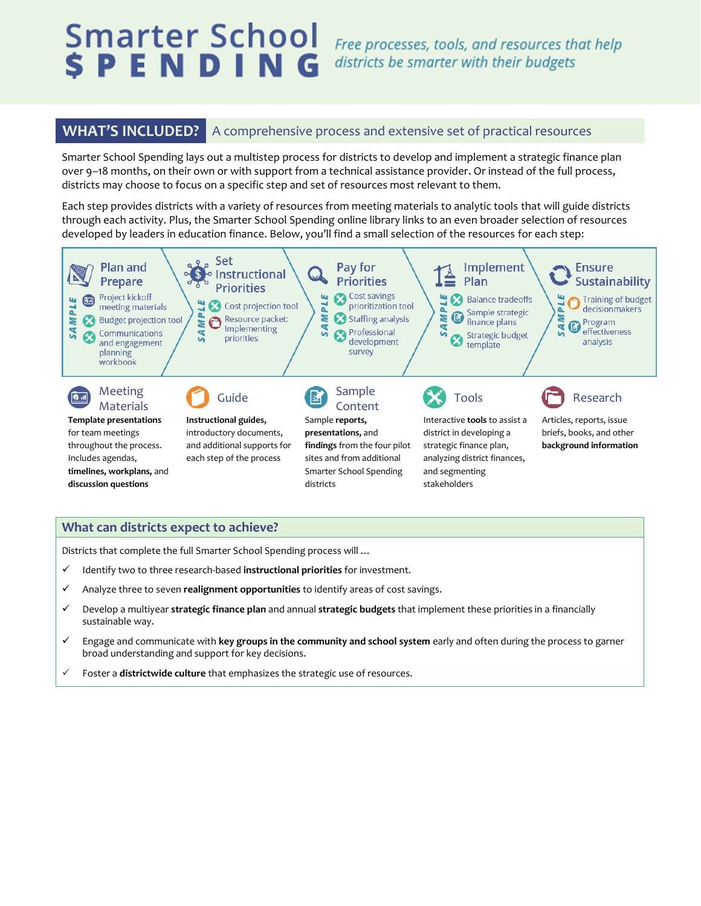# Smarter School **SPENDING**

Free processes, tools, and resources that help districts be smarter with their budgets

**WHAT'S INCLUDED?** A comprehensive process and extensive set of practical resources

Smarter School Spending lays out a multistep process for districts to develop and implement a strategic finance plan over 9–18 months, on their own or with support from a technical assistance provider. Or instead of the full process, districts may choose to focus on a specific step and set of resources most relevant to them.

Each step provides districts with a variety of resources from meeting materials to analytic tools that will guide districts through each activity. Plus, the Smarter School Spending online library links to an even broader selection of resources developed by leaders in education finance. Below, you'll find a small selection of the resources for each step:



### **What can districts expect to achieve?**

Districts that complete the full Smarter School Spending process will …

- Identify two to three research-based **instructional priorities** for investment.
- Analyze three to seven **realignment opportunities** to identify areas of cost savings.
- Develop a multiyear **strategic finance plan** and annual **strategic budgets** that implement these priorities in a financially sustainable way.
- Engage and communicate with **key groups in the community and school system** early and often during the process to garner broad understanding and support for key decisions.
- Foster a **districtwide culture** that emphasizes the strategic use of resources.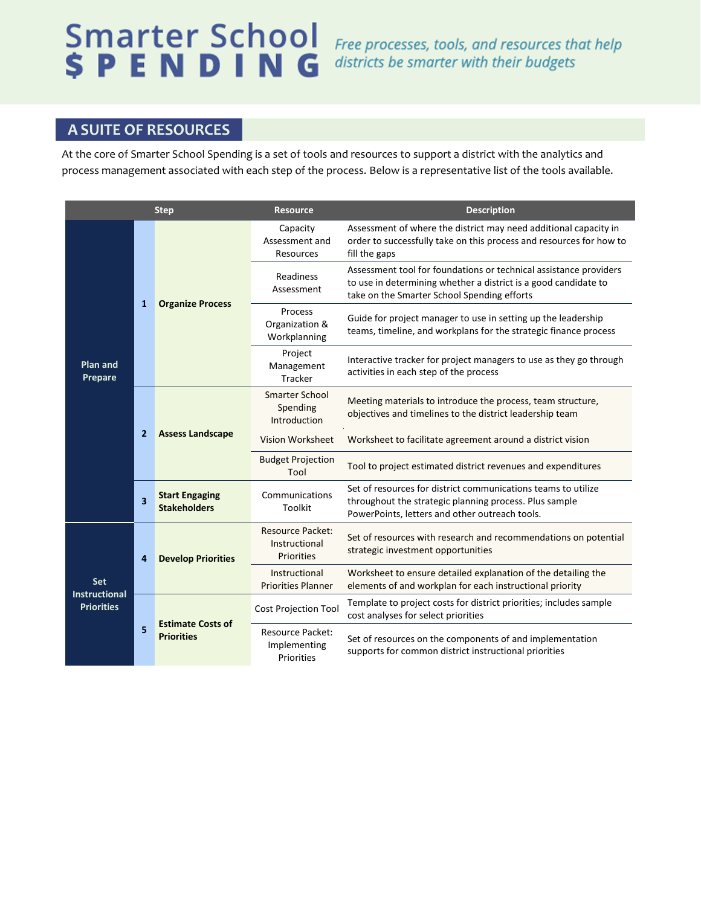# **Smarter School SPENDING**

Free processes, tools, and resources that help districts be smarter with their budgets

# **A SUITE OF RESOURCES**

At the core of Smarter School Spending is a set of tools and resources to support a district with the analytics and process management associated with each step of the process. Below is a representative list of the tools available.

| <b>Step</b>                                      |                         |                                               | <b>Resource</b>                                        | <b>Description</b>                                                                                                                                                                  |
|--------------------------------------------------|-------------------------|-----------------------------------------------|--------------------------------------------------------|-------------------------------------------------------------------------------------------------------------------------------------------------------------------------------------|
| <b>Plan and</b><br>Prepare                       | 1                       | <b>Organize Process</b>                       | Capacity<br>Assessment and<br>Resources                | Assessment of where the district may need additional capacity in<br>order to successfully take on this process and resources for how to<br>fill the gaps                            |
|                                                  |                         |                                               | Readiness<br>Assessment                                | Assessment tool for foundations or technical assistance providers<br>to use in determining whether a district is a good candidate to<br>take on the Smarter School Spending efforts |
|                                                  |                         |                                               | Process<br>Organization &<br>Workplanning              | Guide for project manager to use in setting up the leadership<br>teams, timeline, and workplans for the strategic finance process                                                   |
|                                                  |                         |                                               | Project<br>Management<br>Tracker                       | Interactive tracker for project managers to use as they go through<br>activities in each step of the process                                                                        |
|                                                  | $\overline{2}$          | <b>Assess Landscape</b>                       | <b>Smarter School</b><br>Spending<br>Introduction      | Meeting materials to introduce the process, team structure,<br>objectives and timelines to the district leadership team                                                             |
|                                                  |                         |                                               | Vision Worksheet                                       | Worksheet to facilitate agreement around a district vision                                                                                                                          |
|                                                  |                         |                                               | <b>Budget Projection</b><br>Tool                       | Tool to project estimated district revenues and expenditures                                                                                                                        |
|                                                  | $\overline{\mathbf{3}}$ | <b>Start Engaging</b><br><b>Stakeholders</b>  | Communications<br>Toolkit                              | Set of resources for district communications teams to utilize<br>throughout the strategic planning process. Plus sample<br>PowerPoints, letters and other outreach tools.           |
| Set<br><b>Instructional</b><br><b>Priorities</b> | 4                       | <b>Develop Priorities</b>                     | <b>Resource Packet:</b><br>Instructional<br>Priorities | Set of resources with research and recommendations on potential<br>strategic investment opportunities                                                                               |
|                                                  |                         |                                               | Instructional<br><b>Priorities Planner</b>             | Worksheet to ensure detailed explanation of the detailing the<br>elements of and workplan for each instructional priority                                                           |
|                                                  | 5                       | <b>Estimate Costs of</b><br><b>Priorities</b> | Cost Projection Tool                                   | Template to project costs for district priorities; includes sample<br>cost analyses for select priorities                                                                           |
|                                                  |                         |                                               | <b>Resource Packet:</b><br>Implementing<br>Priorities  | Set of resources on the components of and implementation<br>supports for common district instructional priorities                                                                   |